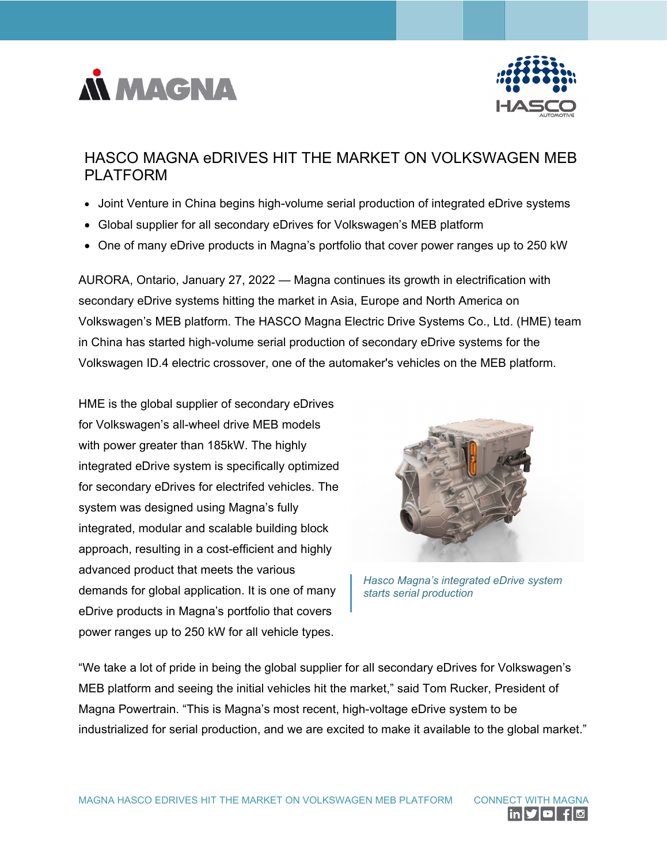



# HASCO MAGNA eDRIVES HIT THE MARKET ON VOLKSWAGEN MEB PLATFORM

- Joint Venture in China begins high-volume serial production of integrated eDrive systems
- Global supplier for all secondary eDrives for Volkswagen's MEB platform
- One of many eDrive products in Magna's portfolio that cover power ranges up to 250 kW

AURORA, Ontario, January 27, 2022 — Magna continues its growth in electrification with secondary eDrive systems hitting the market in Asia, Europe and North America on Volkswagen's MEB platform. The HASCO Magna Electric Drive Systems Co., Ltd. (HME) team in China has started high-volume serial production of secondary eDrive systems for the Volkswagen ID.4 electric crossover, one of the automaker's vehicles on the MEB platform.

HME is the global supplier of secondary eDrives for Volkswagen's all-wheel drive MEB models with power greater than 185kW. The highly integrated eDrive system is specifically optimized for secondary eDrives for electrifed vehicles. The system was designed using Magna's fully integrated, modular and scalable building block approach, resulting in a cost-efficient and highly advanced product that meets the various demands for global application. It is one of many eDrive products in Magna's portfolio that covers power ranges up to 250 kW for all vehicle types.



*Hasco Magna's integrated eDrive system starts serial production*

"We take a lot of pride in being the global supplier for all secondary eDrives for Volkswagen's MEB platform and seeing the initial vehicles hit the market," said Tom Rucker, President of Magna Powertrain. "This is Magna's most recent, high-voltage eDrive system to be industrialized for serial production, and we are excited to make it available to the global market."

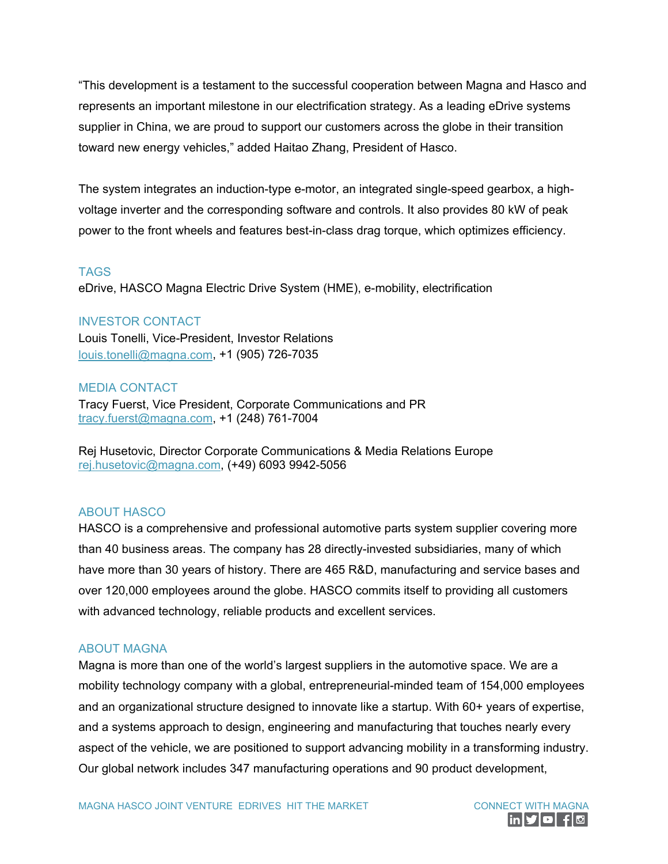"This development is a testament to the successful cooperation between Magna and Hasco and represents an important milestone in our electrification strategy. As a leading eDrive systems supplier in China, we are proud to support our customers across the globe in their transition toward new energy vehicles," added Haitao Zhang, President of Hasco.

The system integrates an induction-type e-motor, an integrated single-speed gearbox, a highvoltage inverter and the corresponding software and controls. It also provides 80 kW of peak power to the front wheels and features best-in-class drag torque, which optimizes efficiency.

### TAGS

eDrive, HASCO Magna Electric Drive System (HME), e-mobility, electrification

## INVESTOR CONTACT

Louis Tonelli, Vice-President, Investor Relations [louis.tonelli@magna.com,](mailto:louis.tonelli@magna.com) +1 (905) 726-7035

## MEDIA CONTACT

Tracy Fuerst, Vice President, Corporate Communications and PR [tracy.fuerst@magna.com,](mailto:tracy.fuerst@magna.com) +1 (248) 761-7004

Rej Husetovic, Director Corporate Communications & Media Relations Europe [rej.husetovic@magna.com,](mailto:rej.husetovic@magna.com) (+49) 6093 9942-5056

# ABOUT HASCO

HASCO is a comprehensive and professional automotive parts system supplier covering more than 40 business areas. The company has 28 directly-invested subsidiaries, many of which have more than 30 years of history. There are 465 R&D, manufacturing and service bases and over 120,000 employees around the globe. HASCO commits itself to providing all customers with advanced technology, reliable products and excellent services.

### ABOUT MAGNA

Magna is more than one of the world's largest suppliers in the automotive space. We are a mobility technology company with a global, entrepreneurial-minded team of 154,000 employees and an organizational structure designed to innovate like a startup. With 60+ years of expertise, and a systems approach to design, engineering and manufacturing that touches nearly every aspect of the vehicle, we are positioned to support advancing mobility in a transforming industry. Our global network includes 347 manufacturing operations and 90 product development,